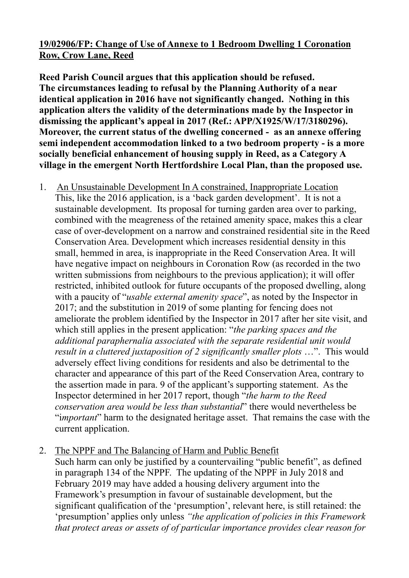## **19/02906/FP: Change of Use of Annexe to 1 Bedroom Dwelling 1 Coronation Row, Crow Lane, Reed**

**Reed Parish Council argues that this application should be refused. The circumstances leading to refusal by the Planning Authority of a near identical application in 2016 have not significantly changed. Nothing in this application alters the validity of the determinations made by the Inspector in dismissing the applicant's appeal in 2017 (Ref.: APP/X1925/W/17/3180296). Moreover, the current status of the dwelling concerned - as an annexe offering semi independent accommodation linked to a two bedroom property - is a more socially beneficial enhancement of housing supply in Reed, as a Category A village in the emergent North Hertfordshire Local Plan, than the proposed use.** 

- 1. An Unsustainable Development In A constrained, Inappropriate Location This, like the 2016 application, is a 'back garden development'. It is not a sustainable development. Its proposal for turning garden area over to parking, combined with the meagreness of the retained amenity space, makes this a clear case of over-development on a narrow and constrained residential site in the Reed Conservation Area. Development which increases residential density in this small, hemmed in area, is inappropriate in the Reed Conservation Area. It will have negative impact on neighbours in Coronation Row (as recorded in the two written submissions from neighbours to the previous application); it will offer restricted, inhibited outlook for future occupants of the proposed dwelling, along with a paucity of "*usable external amenity space*", as noted by the Inspector in 2017; and the substitution in 2019 of some planting for fencing does not ameliorate the problem identified by the Inspector in 2017 after her site visit, and which still applies in the present application: "*the parking spaces and the additional paraphernalia associated with the separate residential unit would result in a cluttered juxtaposition of 2 significantly smaller plots* …". This would adversely effect living conditions for residents and also be detrimental to the character and appearance of this part of the Reed Conservation Area, contrary to the assertion made in para. 9 of the applicant's supporting statement. As the Inspector determined in her 2017 report, though "*the harm to the Reed conservation area would be less than substantial*" there would nevertheless be "i*mportant*" harm to the designated heritage asset. That remains the case with the current application.
- 2. The NPPF and The Balancing of Harm and Public Benefit Such harm can only be justified by a countervailing "public benefit", as defined in paragraph 134 of the NPPF. The updating of the NPPF in July 2018 and February 2019 may have added a housing delivery argument into the Framework's presumption in favour of sustainable development, but the significant qualification of the 'presumption', relevant here, is still retained: the 'presumption' applies only unless *"the application of policies in this Framework that protect areas or assets of of particular importance provides clear reason for*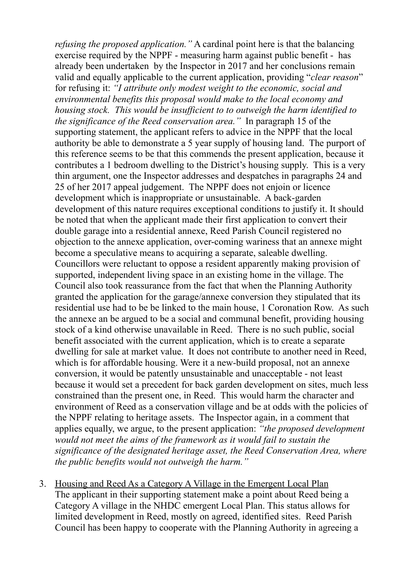*refusing the proposed application."* A cardinal point here is that the balancing exercise required by the NPPF - measuring harm against public benefit - has already been undertaken by the Inspector in 2017 and her conclusions remain valid and equally applicable to the current application, providing "*clear reason*" for refusing it: *"I attribute only modest weight to the economic, social and environmental benefits this proposal would make to the local economy and housing stock. This would be insufficient to to outweigh the harm identified to the significance of the Reed conservation area."* In paragraph 15 of the supporting statement, the applicant refers to advice in the NPPF that the local authority be able to demonstrate a 5 year supply of housing land. The purport of this reference seems to be that this commends the present application, because it contributes a 1 bedroom dwelling to the District's housing supply. This is a very thin argument, one the Inspector addresses and despatches in paragraphs 24 and 25 of her 2017 appeal judgement. The NPPF does not enjoin or licence development which is inappropriate or unsustainable. A back-garden development of this nature requires exceptional conditions to justify it. It should be noted that when the applicant made their first application to convert their double garage into a residential annexe, Reed Parish Council registered no objection to the annexe application, over-coming wariness that an annexe might become a speculative means to acquiring a separate, saleable dwelling. Councillors were reluctant to oppose a resident apparently making provision of supported, independent living space in an existing home in the village. The Council also took reassurance from the fact that when the Planning Authority granted the application for the garage/annexe conversion they stipulated that its residential use had to be be linked to the main house, 1 Coronation Row. As such the annexe an be argued to be a social and communal benefit, providing housing stock of a kind otherwise unavailable in Reed. There is no such public, social benefit associated with the current application, which is to create a separate dwelling for sale at market value. It does not contribute to another need in Reed, which is for affordable housing. Were it a new-build proposal, not an annexe conversion, it would be patently unsustainable and unacceptable - not least because it would set a precedent for back garden development on sites, much less constrained than the present one, in Reed. This would harm the character and environment of Reed as a conservation village and be at odds with the policies of the NPPF relating to heritage assets. The Inspector again, in a comment that applies equally, we argue, to the present application: *"the proposed development would not meet the aims of the framework as it would fail to sustain the significance of the designated heritage asset, the Reed Conservation Area, where the public benefits would not outweigh the harm."*

3. Housing and Reed As a Category A Village in the Emergent Local Plan The applicant in their supporting statement make a point about Reed being a Category A village in the NHDC emergent Local Plan. This status allows for limited development in Reed, mostly on agreed, identified sites. Reed Parish Council has been happy to cooperate with the Planning Authority in agreeing a